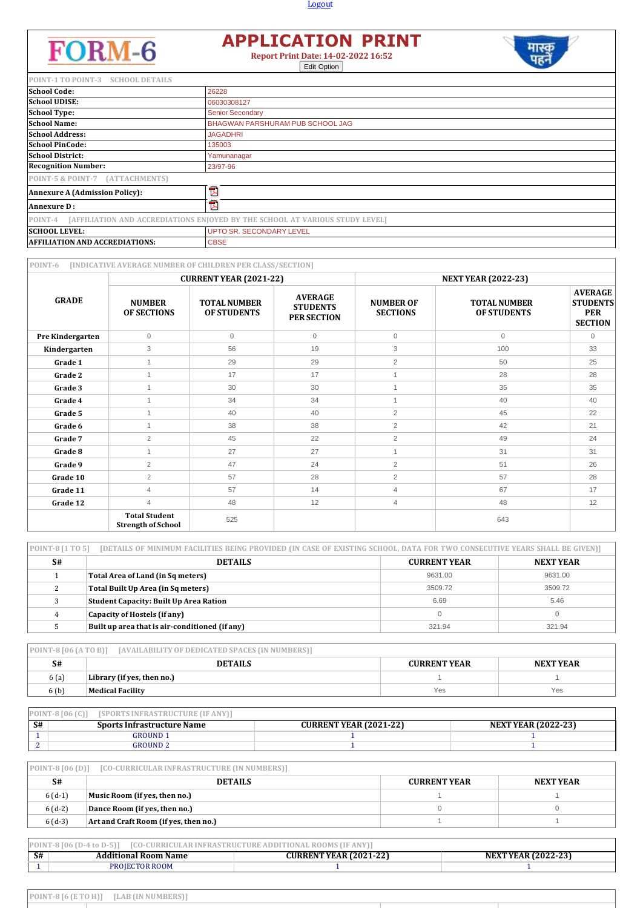## **Logout**



## **APPLICATION PRINT Report Print Date: 14-02-2022 16:52**

Edit Option



| POINT-1 TO POINT-3 SCHOOL DETAILS     |                                                                              |
|---------------------------------------|------------------------------------------------------------------------------|
| <b>School Code:</b>                   | 26228                                                                        |
| <b>School UDISE:</b>                  | 06030308127                                                                  |
| <b>School Type:</b>                   | <b>Senior Secondary</b>                                                      |
| <b>School Name:</b>                   | BHAGWAN PARSHURAM PUB SCHOOL JAG                                             |
| <b>School Address:</b>                | <b>JAGADHRI</b>                                                              |
| <b>School PinCode:</b>                | 135003                                                                       |
| <b>School District:</b>               | Yamunanagar                                                                  |
| <b>Recognition Number:</b>            | 23/97-96                                                                     |
| POINT-5 & POINT-7 (ATTACHMENTS)       |                                                                              |
| <b>Annexure A (Admission Policy):</b> | 云                                                                            |
| <b>Annexure D:</b>                    | Z                                                                            |
| POINT-4                               | [AFFILIATION AND ACCREDIATIONS ENJOYED BY THE SCHOOL AT VARIOUS STUDY LEVEL] |
| <b>SCHOOL LEVEL:</b>                  | <b>UPTO SR. SECONDARY LEVEL</b>                                              |
| <b>AFFILIATION AND ACCREDIATIONS:</b> | <b>CBSE</b>                                                                  |

| POINT-6          |                                                   | [INDICATIVE AVERAGE NUMBER OF CHILDREN PER CLASS/SECTION] |                                                         |                                     |                                           |                                                                   |
|------------------|---------------------------------------------------|-----------------------------------------------------------|---------------------------------------------------------|-------------------------------------|-------------------------------------------|-------------------------------------------------------------------|
|                  | <b>CURRENT YEAR (2021-22)</b>                     |                                                           |                                                         | <b>NEXT YEAR (2022-23)</b>          |                                           |                                                                   |
| <b>GRADE</b>     | <b>NUMBER</b><br><b>OF SECTIONS</b>               | <b>TOTAL NUMBER</b><br><b>OF STUDENTS</b>                 | <b>AVERAGE</b><br><b>STUDENTS</b><br><b>PER SECTION</b> | <b>NUMBER OF</b><br><b>SECTIONS</b> | <b>TOTAL NUMBER</b><br><b>OF STUDENTS</b> | <b>AVERAGE</b><br><b>STUDENTS</b><br><b>PER</b><br><b>SECTION</b> |
| Pre Kindergarten | $\mathbf{0}$                                      | $\mathbf{0}$                                              | $\mathbf{0}$                                            | $\mathbf{0}$                        | $\mathbf{0}$                              | $\mathbf{0}$                                                      |
| Kindergarten     | 3                                                 | 56                                                        | 19                                                      | 3                                   | 100                                       | 33                                                                |
| Grade 1          | $\mathbf{1}$                                      | 29                                                        | 29                                                      | 2                                   | 50                                        | 25                                                                |
| Grade 2          | $\overline{1}$                                    | 17                                                        | 17                                                      |                                     | 28                                        | 28                                                                |
| Grade 3          |                                                   | 30                                                        | 30                                                      | $\overline{A}$                      | 35                                        | 35                                                                |
| Grade 4          | $\overline{A}$                                    | 34                                                        | 34                                                      | $\overline{1}$                      | 40                                        | 40                                                                |
| Grade 5          | $\overline{1}$                                    | 40                                                        | 40                                                      | $\overline{2}$                      | 45                                        | 22                                                                |
| Grade 6          | $\mathbf{1}$                                      | 38                                                        | 38                                                      | $\overline{2}$                      | 42                                        | 21                                                                |
| Grade 7          | $\overline{2}$                                    | 45                                                        | 22                                                      | $\overline{2}$                      | 49                                        | 24                                                                |
| Grade 8          | $\overline{A}$                                    | 27                                                        | 27                                                      | $\overline{1}$                      | 31                                        | 31                                                                |
| Grade 9          | $\overline{2}$                                    | 47                                                        | 24                                                      | 2                                   | 51                                        | 26                                                                |
| Grade 10         | $\overline{2}$                                    | 57                                                        | 28                                                      | 2                                   | 57                                        | 28                                                                |
| Grade 11         | $\overline{4}$                                    | 57                                                        | 14                                                      | $\overline{4}$                      | 67                                        | 17                                                                |
| Grade 12         | $\overline{4}$                                    | 48                                                        | 12                                                      | $\overline{4}$                      | 48                                        | 12                                                                |
|                  | <b>Total Student</b><br><b>Strength of School</b> | 525                                                       |                                                         |                                     | 643                                       |                                                                   |

| POINT-8 [1 TO 5]<br>[DETAILS OF MINIMUM FACILITIES BEING PROVIDED (IN CASE OF EXISTING SCHOOL, DATA FOR TWO CONSECUTIVE YEARS SHALL BE GIVEN)] |                                                |                     |           |  |
|------------------------------------------------------------------------------------------------------------------------------------------------|------------------------------------------------|---------------------|-----------|--|
| S#                                                                                                                                             | <b>DETAILS</b>                                 | <b>CURRENT YEAR</b> | NEXT YEAR |  |
|                                                                                                                                                | Total Area of Land (in Sq meters)              | 9631.00             | 9631.00   |  |
|                                                                                                                                                | Total Built Up Area (in Sq meters)             | 3509.72             | 3509.72   |  |
|                                                                                                                                                | <b>Student Capacity: Built Up Area Ration</b>  | 6.69                | 5.46      |  |
| 4                                                                                                                                              | Capacity of Hostels (if any)                   |                     | 0         |  |
|                                                                                                                                                | Built up area that is air-conditioned (if any) | 321.94              | 321.94    |  |

| $POINT-8 [06 (A TO B)]$<br>[AVAILABILITY OF DEDICATED SPACES (IN NUMBERS)] |                            |                     |           |  |
|----------------------------------------------------------------------------|----------------------------|---------------------|-----------|--|
| S#                                                                         | <b>DETAILS</b>             | <b>CURRENT YEAR</b> | NEXT YEAR |  |
| 6(a)                                                                       | Library (if yes, then no.) |                     |           |  |
| 6(b)                                                                       | Medical Facility           | Yes                 | Yes       |  |

|     | $POINT-8[06(C)]$<br>[SPORTS INFRASTRUCTURE (IF ANY)] |                               |                            |
|-----|------------------------------------------------------|-------------------------------|----------------------------|
| -S# | <b>Sports Infrastructure Name</b>                    | <b>CURRENT YEAR (2021-22)</b> | <b>NEXT YEAR (2022-23)</b> |
|     | GROUND 1                                             |                               |                            |
|     | GROUND 2                                             |                               |                            |

| $POINT-8 [06 (D)]$<br>[CO-CURRICULAR INFRASTRUCTURE (IN NUMBERS)] |                                                    |  |  |  |  |
|-------------------------------------------------------------------|----------------------------------------------------|--|--|--|--|
| S#                                                                | <b>DETAILS</b><br><b>CURRENT YEAR</b><br>NEXT YEAR |  |  |  |  |
| $6(d-1)$                                                          | Music Room (if yes, then no.)                      |  |  |  |  |
| $6(d-2)$                                                          | Dance Room (if yes, then no.)                      |  |  |  |  |
| $6(d-3)$                                                          | Art and Craft Room (if yes, then no.)              |  |  |  |  |

|    | <b>POINT-8 [06 (D-4 to D-5</b><br>ROOM<br>זורטיר<br>'I LINAI |                               |                            |  |  |  |  |
|----|--------------------------------------------------------------|-------------------------------|----------------------------|--|--|--|--|
| S# | <b>Additional Room Name</b>                                  | <b>CURRENT YEAR (2021-22)</b> | <b>NEXT YEAR (2022-23)</b> |  |  |  |  |
|    | PROJECTOR ROOM                                               |                               |                            |  |  |  |  |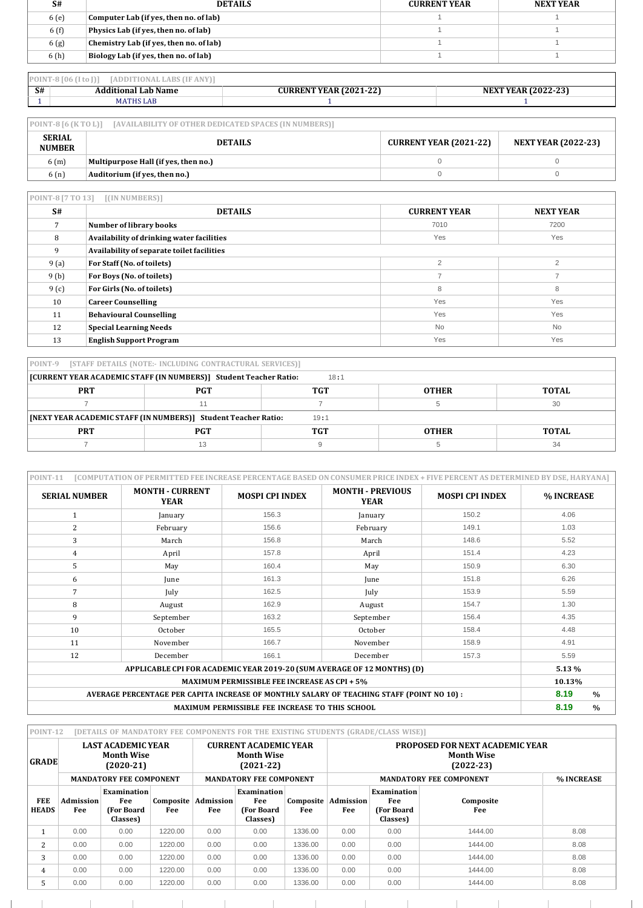| S#    | <b>DETAILS</b>                          | <b>CURRENT YEAR</b> | <b>NEXT YEAR</b> |
|-------|-----------------------------------------|---------------------|------------------|
| 6 (e) | Computer Lab (if yes, then no. of lab)  |                     |                  |
| 6 (f) | Physics Lab (if yes, then no. of lab)   |                     |                  |
| 6(g)  | Chemistry Lab (if yes, then no. of lab) |                     |                  |
| 6 (h) | Biology Lab (if yes, then no. of lab)   |                     |                  |

|    | $PONT-8[06](I to []]$<br><b>TADDITIONAL LABS (IF ANY)</b> |                               |                            |
|----|-----------------------------------------------------------|-------------------------------|----------------------------|
| S# | <b>Additional Lab Name</b>                                | <b>CURRENT YEAR (2021-22)</b> | <b>NEXT YEAR (2022-23)</b> |
|    | MATHS LAB                                                 |                               |                            |

| $POINT-8 [6 (K TO L)]$<br>[AVAILABILITY OF OTHER DEDICATED SPACES (IN NUMBERS)] |                                                                               |  |  |  |  |
|---------------------------------------------------------------------------------|-------------------------------------------------------------------------------|--|--|--|--|
| <b>SERIAL</b><br><b>NUMBER</b>                                                  | <b>CURRENT YEAR (2021-22)</b><br><b>DETAILS</b><br><b>NEXT YEAR (2022-23)</b> |  |  |  |  |
| 6(m)                                                                            | Multipurpose Hall (if yes, then no.)                                          |  |  |  |  |
| 6(n)                                                                            | Auditorium (if yes, then no.)                                                 |  |  |  |  |

| POINT-8 [7 TO 13]<br>[(IN NUMBERS)] |                                            |                     |                  |  |  |
|-------------------------------------|--------------------------------------------|---------------------|------------------|--|--|
| S#                                  | <b>DETAILS</b>                             | <b>CURRENT YEAR</b> | <b>NEXT YEAR</b> |  |  |
|                                     | Number of library books                    | 7010                | 7200             |  |  |
| 8                                   | Availability of drinking water facilities  | Yes                 | Yes              |  |  |
| 9                                   | Availability of separate toilet facilities |                     |                  |  |  |
| 9 (a)                               | For Staff (No. of toilets)                 | $\overline{2}$      | $\overline{2}$   |  |  |
| 9(b)                                | For Boys (No. of toilets)                  | -                   | ⇁                |  |  |
| 9(c)                                | For Girls (No. of toilets)                 | 8                   | 8                |  |  |
| 10                                  | <b>Career Counselling</b>                  | Yes                 | Yes              |  |  |
| 11                                  | <b>Behavioural Counselling</b>             | Yes                 | Yes              |  |  |
| 12                                  | <b>Special Learning Needs</b>              | <b>No</b>           | <b>No</b>        |  |  |
| 13                                  | <b>English Support Program</b>             | Yes                 | Yes              |  |  |

| POINT-9 [STAFF DETAILS (NOTE:- INCLUDING CONTRACTURAL SERVICES)] |                                                                           |      |  |    |  |  |  |
|------------------------------------------------------------------|---------------------------------------------------------------------------|------|--|----|--|--|--|
|                                                                  | [CURRENT YEAR ACADEMIC STAFF (IN NUMBERS)] Student Teacher Ratio:<br>18:1 |      |  |    |  |  |  |
| TGT<br><b>PRT</b><br><b>PGT</b><br><b>TOTAL</b><br><b>OTHER</b>  |                                                                           |      |  |    |  |  |  |
|                                                                  |                                                                           |      |  | 30 |  |  |  |
|                                                                  | [NEXT YEAR ACADEMIC STAFF (IN NUMBERS)] Student Teacher Ratio:            | 19:1 |  |    |  |  |  |
| <b>PRT</b>                                                       | TGT<br><b>PGT</b><br><b>TOTAL</b><br><b>OTHER</b>                         |      |  |    |  |  |  |
|                                                                  | 13                                                                        |      |  | 34 |  |  |  |

| <b>POINT-11</b><br>[COMPUTATION OF PERMITTED FEE INCREASE PERCENTAGE BASED ON CONSUMER PRICE INDEX + FIVE PERCENT AS DETERMINED BY DSE, HARYANA] |                                       |                                                 |                                        |                        |                       |  |  |  |  |  |
|--------------------------------------------------------------------------------------------------------------------------------------------------|---------------------------------------|-------------------------------------------------|----------------------------------------|------------------------|-----------------------|--|--|--|--|--|
| <b>SERIAL NUMBER</b>                                                                                                                             | <b>MONTH - CURRENT</b><br><b>YEAR</b> | <b>MOSPI CPI INDEX</b>                          | <b>MONTH - PREVIOUS</b><br><b>YEAR</b> | <b>MOSPI CPI INDEX</b> | % INCREASE            |  |  |  |  |  |
| $\mathbf{1}$                                                                                                                                     | January                               | 156.3                                           | January                                | 150.2                  | 4.06                  |  |  |  |  |  |
| 2                                                                                                                                                | February                              | 156.6                                           | February                               | 149.1                  | 1.03                  |  |  |  |  |  |
| 3                                                                                                                                                | March                                 | 156.8                                           | March                                  | 148.6                  | 5.52                  |  |  |  |  |  |
| 4                                                                                                                                                | April                                 | 157.8                                           | April                                  | 151.4                  | 4.23                  |  |  |  |  |  |
| 5                                                                                                                                                | May                                   | 160.4                                           | May                                    | 150.9                  | 6.30                  |  |  |  |  |  |
| 6                                                                                                                                                | June                                  | 161.3                                           | June                                   | 151.8                  | 6.26                  |  |  |  |  |  |
| 7                                                                                                                                                | July                                  |                                                 | 162.5<br>July                          |                        | 5.59                  |  |  |  |  |  |
| 8                                                                                                                                                | August                                |                                                 | August                                 | 154.7                  | 1.30                  |  |  |  |  |  |
| 9                                                                                                                                                | September                             | 163.2                                           | September                              | 156.4                  | 4.35                  |  |  |  |  |  |
| 10                                                                                                                                               | October                               | 165.5                                           | October                                | 158.4                  | 4.48                  |  |  |  |  |  |
| 11                                                                                                                                               | November                              | 166.7                                           | November                               | 158.9                  | 4.91                  |  |  |  |  |  |
| 12                                                                                                                                               | December                              | 166.1                                           | December                               | 5.59                   |                       |  |  |  |  |  |
|                                                                                                                                                  | 5.13 %                                |                                                 |                                        |                        |                       |  |  |  |  |  |
|                                                                                                                                                  | 10.13%                                |                                                 |                                        |                        |                       |  |  |  |  |  |
| AVERAGE PERCENTAGE PER CAPITA INCREASE OF MONTHLY SALARY OF TEACHING STAFF (POINT NO 10) :                                                       |                                       |                                                 |                                        |                        |                       |  |  |  |  |  |
|                                                                                                                                                  |                                       | MAXIMUM PERMISSIBLE FEE INCREASE TO THIS SCHOOL |                                        |                        | 8.19<br>$\frac{0}{0}$ |  |  |  |  |  |

| POINT-12<br>[DETAILS OF MANDATORY FEE COMPONENTS FOR THE EXISTING STUDENTS (GRADE/CLASS WISE)] |                                                                                                 |                                                      |                  |                                                                                                    |                                                     |                  |                                                                            |                                                     |                                |            |  |
|------------------------------------------------------------------------------------------------|-------------------------------------------------------------------------------------------------|------------------------------------------------------|------------------|----------------------------------------------------------------------------------------------------|-----------------------------------------------------|------------------|----------------------------------------------------------------------------|-----------------------------------------------------|--------------------------------|------------|--|
| <b>GRADE</b>                                                                                   | <b>LAST ACADEMIC YEAR</b><br><b>Month Wise</b><br>$(2020-21)$<br><b>MANDATORY FEE COMPONENT</b> |                                                      |                  | <b>CURRENT ACADEMIC YEAR</b><br><b>Month Wise</b><br>$(2021-22)$<br><b>MANDATORY FEE COMPONENT</b> |                                                     |                  | <b>PROPOSED FOR NEXT ACADEMIC YEAR</b><br><b>Month Wise</b><br>$(2022-23)$ |                                                     |                                |            |  |
|                                                                                                |                                                                                                 |                                                      |                  |                                                                                                    |                                                     |                  |                                                                            |                                                     | <b>MANDATORY FEE COMPONENT</b> | % INCREASE |  |
| <b>FEE</b><br><b>HEADS</b>                                                                     | Admission<br>Fee                                                                                | <b>Examination</b><br>Fee<br>(For Board)<br>Classes) | Composite<br>Fee | Admission<br>Fee                                                                                   | <b>Examination</b><br>Fee<br>(For Board<br>Classes) | Composite<br>Fee | Admission<br>Fee                                                           | <b>Examination</b><br>Fee<br>(For Board<br>Classes) | Composite<br>Fee               |            |  |
|                                                                                                | 0.00                                                                                            | 0.00                                                 | 1220.00          | 0.00                                                                                               | 0.00                                                | 1336.00          | 0.00                                                                       | 0.00                                                | 1444.00                        | 8.08       |  |
| 2                                                                                              | 0.00                                                                                            | 0.00                                                 | 1220.00          | 0.00                                                                                               | 0.00                                                | 1336.00          | 0.00                                                                       | 0.00                                                | 1444.00                        | 8.08       |  |
| 3                                                                                              | 0.00                                                                                            | 0.00                                                 | 1220.00          | 0.00                                                                                               | 0.00                                                | 1336.00          | 0.00                                                                       | 0.00                                                | 1444.00                        | 8.08       |  |
| 4                                                                                              | 0.00                                                                                            | 0.00                                                 | 1220.00          | 0.00                                                                                               | 0.00                                                | 1336.00          | 0.00                                                                       | 0.00                                                | 1444.00                        | 8.08       |  |
| $\mathcal{P}$                                                                                  | 0.00                                                                                            | 0.00                                                 | 1220.00          | 0.00                                                                                               | 0.00                                                | 1336.00          | 0.00                                                                       | 0.00                                                | 1444.00                        | 8.08       |  |

 $\mathbb{R}$ 

 $\mathbb{R}$ 

 $\mathbb{R}^n$ 

 $\mathbb{R}^n$ 

 $\mathbb{R}$ 

 $-1$   $-1$ 

 $\sim$  100  $\sim$ 

 $\mathbb{R}^n$ 

 $\mathbb{R}$ 

 $\mathbb{R}$